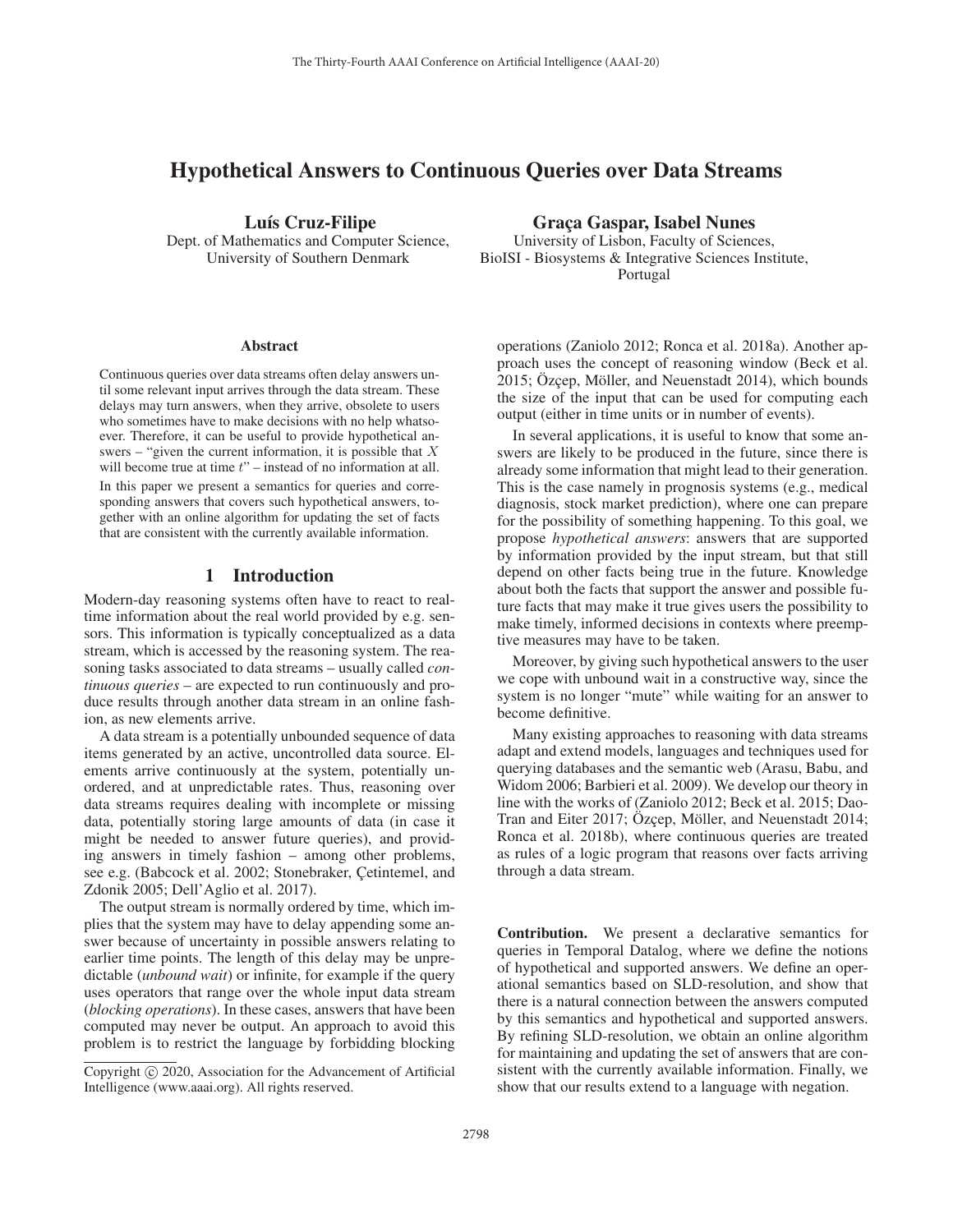# Hypothetical Answers to Continuous Queries over Data Streams

Luís Cruz-Filipe

Dept. of Mathematics and Computer Science, University of Southern Denmark

#### **Abstract**

Continuous queries over data streams often delay answers until some relevant input arrives through the data stream. These delays may turn answers, when they arrive, obsolete to users who sometimes have to make decisions with no help whatsoever. Therefore, it can be useful to provide hypothetical answers – "given the current information, it is possible that  $X$ will become true at time  $t$ " – instead of no information at all. In this paper we present a semantics for queries and corresponding answers that covers such hypothetical answers, together with an online algorithm for updating the set of facts that are consistent with the currently available information.

### 1 Introduction

Modern-day reasoning systems often have to react to realtime information about the real world provided by e.g. sensors. This information is typically conceptualized as a data stream, which is accessed by the reasoning system. The reasoning tasks associated to data streams – usually called *continuous queries* – are expected to run continuously and produce results through another data stream in an online fashion, as new elements arrive.

A data stream is a potentially unbounded sequence of data items generated by an active, uncontrolled data source. Elements arrive continuously at the system, potentially unordered, and at unpredictable rates. Thus, reasoning over data streams requires dealing with incomplete or missing data, potentially storing large amounts of data (in case it might be needed to answer future queries), and providing answers in timely fashion – among other problems, see e.g. (Babcock et al. 2002; Stonebraker, Cetintemel, and Zdonik 2005; Dell'Aglio et al. 2017).

The output stream is normally ordered by time, which implies that the system may have to delay appending some answer because of uncertainty in possible answers relating to earlier time points. The length of this delay may be unpredictable (*unbound wait*) or infinite, for example if the query uses operators that range over the whole input data stream (*blocking operations*). In these cases, answers that have been computed may never be output. An approach to avoid this problem is to restrict the language by forbidding blocking

### Graça Gaspar, Isabel Nunes

University of Lisbon, Faculty of Sciences, BioISI - Biosystems & Integrative Sciences Institute, Portugal

operations (Zaniolo 2012; Ronca et al. 2018a). Another approach uses the concept of reasoning window (Beck et al. 2015; Ozcep, Möller, and Neuenstadt 2014), which bounds the size of the input that can be used for computing each output (either in time units or in number of events).

In several applications, it is useful to know that some answers are likely to be produced in the future, since there is already some information that might lead to their generation. This is the case namely in prognosis systems (e.g., medical diagnosis, stock market prediction), where one can prepare for the possibility of something happening. To this goal, we propose *hypothetical answers*: answers that are supported by information provided by the input stream, but that still depend on other facts being true in the future. Knowledge about both the facts that support the answer and possible future facts that may make it true gives users the possibility to make timely, informed decisions in contexts where preemptive measures may have to be taken.

Moreover, by giving such hypothetical answers to the user we cope with unbound wait in a constructive way, since the system is no longer "mute" while waiting for an answer to become definitive.

Many existing approaches to reasoning with data streams adapt and extend models, languages and techniques used for querying databases and the semantic web (Arasu, Babu, and Widom 2006; Barbieri et al. 2009). We develop our theory in line with the works of (Zaniolo 2012; Beck et al. 2015; Dao-Tran and Eiter 2017; Özçep, Möller, and Neuenstadt 2014; Ronca et al. 2018b), where continuous queries are treated as rules of a logic program that reasons over facts arriving through a data stream.

Contribution. We present a declarative semantics for queries in Temporal Datalog, where we define the notions of hypothetical and supported answers. We define an operational semantics based on SLD-resolution, and show that there is a natural connection between the answers computed by this semantics and hypothetical and supported answers. By refining SLD-resolution, we obtain an online algorithm for maintaining and updating the set of answers that are consistent with the currently available information. Finally, we show that our results extend to a language with negation.

Copyright  $\odot$  2020, Association for the Advancement of Artificial Intelligence (www.aaai.org). All rights reserved.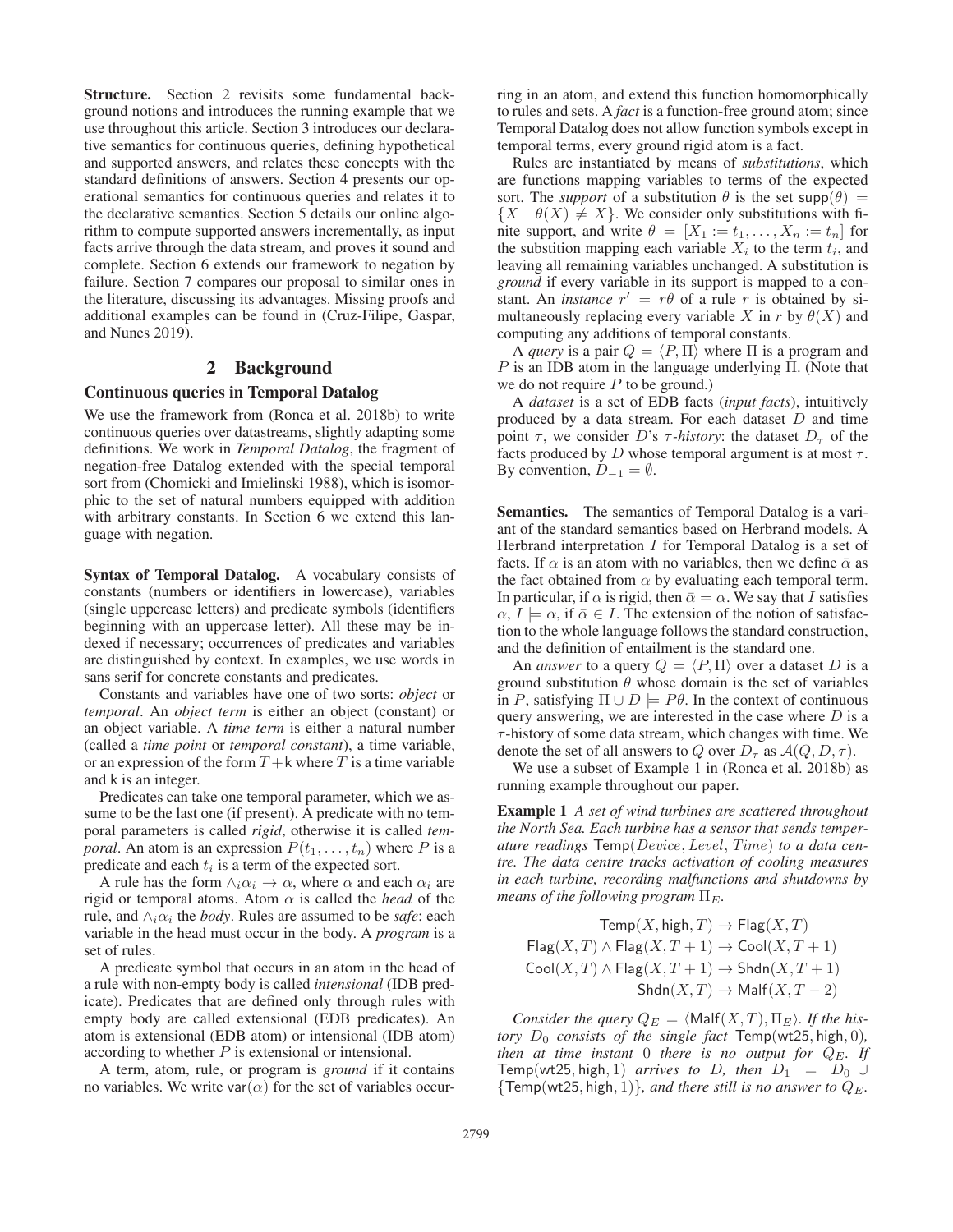Structure. Section 2 revisits some fundamental background notions and introduces the running example that we use throughout this article. Section 3 introduces our declarative semantics for continuous queries, defining hypothetical and supported answers, and relates these concepts with the standard definitions of answers. Section 4 presents our operational semantics for continuous queries and relates it to the declarative semantics. Section 5 details our online algorithm to compute supported answers incrementally, as input facts arrive through the data stream, and proves it sound and complete. Section 6 extends our framework to negation by failure. Section 7 compares our proposal to similar ones in the literature, discussing its advantages. Missing proofs and additional examples can be found in (Cruz-Filipe, Gaspar, and Nunes 2019).

# 2 Background

# Continuous queries in Temporal Datalog

We use the framework from (Ronca et al. 2018b) to write continuous queries over datastreams, slightly adapting some definitions. We work in *Temporal Datalog*, the fragment of negation-free Datalog extended with the special temporal sort from (Chomicki and Imielinski 1988), which is isomorphic to the set of natural numbers equipped with addition with arbitrary constants. In Section 6 we extend this language with negation.

Syntax of Temporal Datalog. A vocabulary consists of constants (numbers or identifiers in lowercase), variables (single uppercase letters) and predicate symbols (identifiers beginning with an uppercase letter). All these may be indexed if necessary; occurrences of predicates and variables are distinguished by context. In examples, we use words in sans serif for concrete constants and predicates.

Constants and variables have one of two sorts: *object* or *temporal*. An *object term* is either an object (constant) or an object variable. A *time term* is either a natural number (called a *time point* or *temporal constant*), a time variable, or an expression of the form  $T + k$  where T is a time variable and k is an integer.

Predicates can take one temporal parameter, which we assume to be the last one (if present). A predicate with no temporal parameters is called *rigid*, otherwise it is called *temporal*. An atom is an expression  $P(t_1,...,t_n)$  where P is a predicate and each  $t_i$  is a term of the expected sort.

A rule has the form  $\land_i \alpha_i \rightarrow \alpha$ , where  $\alpha$  and each  $\alpha_i$  are rigid or temporal atoms. Atom  $\alpha$  is called the *head* of the rule, and  $\wedge_i \alpha_i$  the *body*. Rules are assumed to be *safe*: each variable in the head must occur in the body. A *program* is a set of rules.

A predicate symbol that occurs in an atom in the head of a rule with non-empty body is called *intensional* (IDB predicate). Predicates that are defined only through rules with empty body are called extensional (EDB predicates). An atom is extensional (EDB atom) or intensional (IDB atom) according to whether  $P$  is extensional or intensional.

A term, atom, rule, or program is *ground* if it contains no variables. We write var $(\alpha)$  for the set of variables occur-

ring in an atom, and extend this function homomorphically to rules and sets. A *fact* is a function-free ground atom; since Temporal Datalog does not allow function symbols except in temporal terms, every ground rigid atom is a fact.

Rules are instantiated by means of *substitutions*, which are functions mapping variables to terms of the expected sort. The *support* of a substitution  $\theta$  is the set supp $(\theta)$  =  ${X \mid \theta(X) \neq X}$ . We consider only substitutions with finite support, and write  $\theta = [X_1 := t_1, \ldots, X_n := t_n]$  for the substition mapping each variable  $X_i$  to the term  $t_i$ , and leaving all remaining variables unchanged. A substitution is *ground* if every variable in its support is mapped to a constant. An *instance*  $r' = r\theta$  of a rule r is obtained by simultaneously replacing every variable X in r by  $\theta(X)$  and computing any additions of temporal constants.

A *query* is a pair  $Q = \langle P, \Pi \rangle$  where  $\Pi$  is a program and  $P$  is an IDB atom in the language underlying Π. (Note that we do not require  $P$  to be ground.)

A *dataset* is a set of EDB facts (*input facts*), intuitively produced by a data stream. For each dataset D and time point  $\tau$ , we consider D's  $\tau$ -history: the dataset  $D_{\tau}$  of the facts produced by  $D$  whose temporal argument is at most  $\tau$ . By convention,  $D_{-1} = \emptyset$ .

Semantics. The semantics of Temporal Datalog is a variant of the standard semantics based on Herbrand models. A Herbrand interpretation  $I$  for Temporal Datalog is a set of facts. If  $\alpha$  is an atom with no variables, then we define  $\bar{\alpha}$  as the fact obtained from  $\alpha$  by evaluating each temporal term. In particular, if  $\alpha$  is rigid, then  $\bar{\alpha} = \alpha$ . We say that I satisfies  $\alpha, I \models \alpha$ , if  $\bar{\alpha} \in I$ . The extension of the notion of satisfaction to the whole language follows the standard construction, and the definition of entailment is the standard one.

An *answer* to a query  $Q = \langle P, \Pi \rangle$  over a dataset D is a ground substitution  $\theta$  whose domain is the set of variables in P, satisfying  $\Pi \cup D$   $\models$  P $\theta$ . In the context of continuous query answering, we are interested in the case where  $D$  is a  $\tau$ -history of some data stream, which changes with time. We denote the set of all answers to Q over  $D_{\tau}$  as  $A(Q, D, \tau)$ .

We use a subset of Example 1 in (Ronca et al. 2018b) as running example throughout our paper.

Example 1 *A set of wind turbines are scattered throughout the North Sea. Each turbine has a sensor that sends temperature readings* Temp(*Device*, *Level*, *Time*) *to a data centre. The data centre tracks activation of cooling measures in each turbine, recording malfunctions and shutdowns by means of the following program*  $\Pi_E$ .

 $Temp(X, high, T) \rightarrow Flag(X, T)$  $Flag(X, T) \wedge Flag(X, T + 1) \rightarrow Cool(X, T + 1)$  $\text{Cool}(X, T) \wedge \text{Flag}(X, T + 1) \rightarrow \text{Shdn}(X, T + 1)$  $\text{Shdn}(X, T) \to \text{Malf}(X, T - 2)$ 

*Consider the query*  $Q_E = \langle \text{Malf}(X, T), \Pi_E \rangle$ . If the his*tory*  $D_0$  *consists of the single fact*  $Temp(wt25, high, 0)$ *, then at time instant* 0 *there is no output for* QE*. If* Temp(wt25, high, 1) *arrives to* D, then  $D_1 = D_0 \cup$  ${Temp(wt25, high, 1)}$ *, and there still is no answer to*  $Q_E$ *.*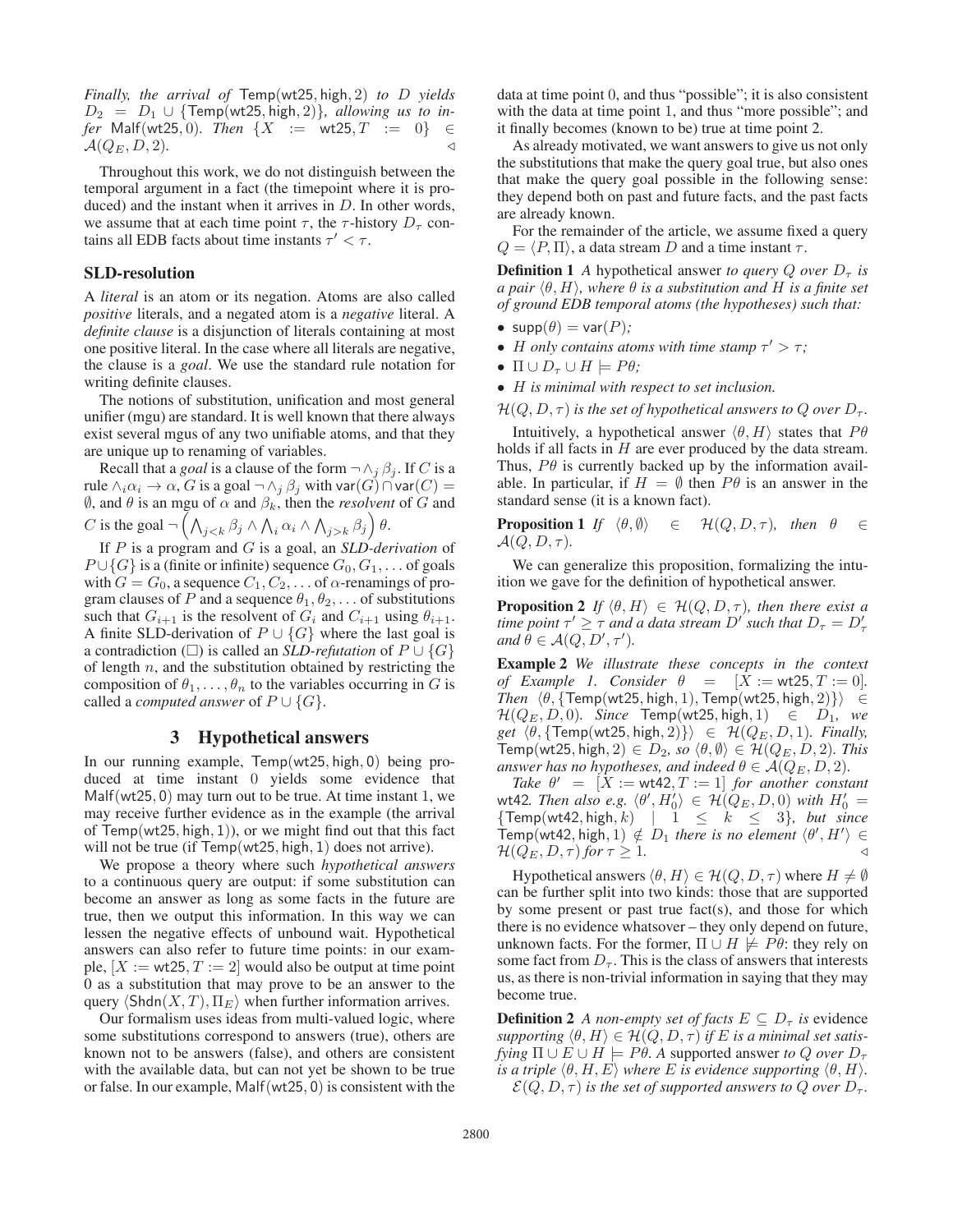*Finally, the arrival of* Temp(wt25, high, 2) *to* D *yields*  $D_2 = D_1 \cup \{Temp(wt25, high, 2)\}$ , allowing us to in*fer* Malf(wt25, 0)*. Then*  $\{X := \text{wt25}, T := 0\}$  ∈  $\mathcal{A}(Q_E, D, 2)$ .

Throughout this work, we do not distinguish between the temporal argument in a fact (the timepoint where it is produced) and the instant when it arrives in  $D$ . In other words, we assume that at each time point  $\tau$ , the  $\tau$ -history  $D_{\tau}$  contains all EDB facts about time instants  $\tau' < \tau$ .

#### SLD-resolution

A *literal* is an atom or its negation. Atoms are also called *positive* literals, and a negated atom is a *negative* literal. A *definite clause* is a disjunction of literals containing at most one positive literal. In the case where all literals are negative, the clause is a *goal*. We use the standard rule notation for writing definite clauses.

The notions of substitution, unification and most general unifier (mgu) are standard. It is well known that there always exist several mgus of any two unifiable atoms, and that they are unique up to renaming of variables.

Recall that a *goal* is a clause of the form  $\neg \wedge_j \beta_j$ . If C is a rule  $\wedge_i\alpha_i\to\alpha$ ,  $G$  is a goal  $\neg\wedge_j\beta_j$  with var $(G)\cap$ var $(C)=$  $\emptyset$ , and  $\theta$  is an mgu of  $\alpha$  and  $\beta_k$ , then the *resolvent* of  $G$  and

C is the goal  $\neg \left( \bigwedge_{j < k} \beta_j \wedge \bigwedge_i \alpha_i \wedge \bigwedge_{j > k} \beta_j \right) \theta$ .

If P is a program and G is a goal, an *SLD-derivation* of  $P \cup \{G\}$  is a (finite or infinite) sequence  $G_0, G_1, \ldots$  of goals with  $G = G_0$ , a sequence  $C_1, C_2, \ldots$  of  $\alpha$ -renamings of program clauses of P and a sequence  $\theta_1, \theta_2, \ldots$  of substitutions such that  $G_{i+1}$  is the resolvent of  $G_i$  and  $C_{i+1}$  using  $\theta_{i+1}$ . A finite SLD-derivation of  $P \cup \{G\}$  where the last goal is a contradiction ( $\square$ ) is called an *SLD-refutation* of  $P \cup \{G\}$ of length  $n$ , and the substitution obtained by restricting the composition of  $\theta_1, \ldots, \theta_n$  to the variables occurring in G is called a *computed answer* of  $P \cup \{G\}$ .

# 3 Hypothetical answers

In our running example, Temp(wt25, high, 0) being produced at time instant 0 yields some evidence that Malf(wt25, 0) may turn out to be true. At time instant 1, we may receive further evidence as in the example (the arrival of Temp(wt25, high, 1)), or we might find out that this fact will not be true (if Temp(wt25, high, 1) does not arrive).

We propose a theory where such *hypothetical answers* to a continuous query are output: if some substitution can become an answer as long as some facts in the future are true, then we output this information. In this way we can lessen the negative effects of unbound wait. Hypothetical answers can also refer to future time points: in our example,  $[X := wt25, T := 2]$  would also be output at time point 0 as a substitution that may prove to be an answer to the query  $\langle \text{Shdn}(X,T), \Pi_E \rangle$  when further information arrives.

Our formalism uses ideas from multi-valued logic, where some substitutions correspond to answers (true), others are known not to be answers (false), and others are consistent with the available data, but can not yet be shown to be true or false. In our example, Malf(wt25, 0) is consistent with the

data at time point 0, and thus "possible"; it is also consistent with the data at time point 1, and thus "more possible"; and it finally becomes (known to be) true at time point 2.

As already motivated, we want answers to give us not only the substitutions that make the query goal true, but also ones that make the query goal possible in the following sense: they depend both on past and future facts, and the past facts are already known.

For the remainder of the article, we assume fixed a query  $Q = \langle P, \Pi \rangle$ , a data stream D and a time instant  $\tau$ .

**Definition 1** *A* hypothetical answer *to query Q over*  $D_{\tau}$  *is a pair*  $\langle \theta, H \rangle$ , where  $\theta$  *is a substitution and* H *is a finite set of ground EDB temporal atoms (the hypotheses) such that:*

- $supp(\theta) = var(P)$ ;
- H only contains atoms with time stamp  $\tau' > \tau$ ;
- $\Pi \cup D_{\tau} \cup H \models P\theta;$
- H *is minimal with respect to set inclusion.*
- $\mathcal{H}(Q, D, \tau)$  *is the set of hypothetical answers to Q over*  $D_{\tau}$ *.*

Intuitively, a hypothetical answer  $\langle \theta, H \rangle$  states that  $P\theta$ holds if all facts in  $H$  are ever produced by the data stream. Thus,  $P\theta$  is currently backed up by the information available. In particular, if  $H = \emptyset$  then  $P\theta$  is an answer in the standard sense (it is a known fact).

**Proposition 1** *If*  $\langle \theta, \emptyset \rangle \in \mathcal{H}(Q, D, \tau)$ *, then*  $\theta \in$  $\mathcal{A}(Q, D, \tau)$ .

We can generalize this proposition, formalizing the intuition we gave for the definition of hypothetical answer.

**Proposition 2** *If*  $\langle \theta, H \rangle \in \mathcal{H}(Q, D, \tau)$ *, then there exist a time point*  $\tau' \geq \tau$  *and a data stream*  $D'$  *such that*  $D_{\tau} = D'_{\tau}$ and  $\dot{\theta} \in \mathcal{A}(Q, D', \tau').$ 

Example 2 *We illustrate these concepts in the context of Example 1. Consider*  $\theta = [X := wt25, T := 0]$ . *Then*  $\langle \theta, \{\text{Temp(wt25, high, 1)}, \text{Temp(wt25, high, 2)}\}\rangle \in$  $\mathcal{H}(Q_E, D, 0)$ *. Since* Temp(wt25, high, 1)  $\in D_1$ , we *get*  $\langle \theta, \{\text{Temp(wt25, high, 2)}\}\rangle \in \mathcal{H}(Q_E, D, 1)$ *. Finally,* Temp(wt25, high, 2)  $\in D_2$ , so  $\langle \theta, \emptyset \rangle \in \mathcal{H}(Q_E, D, 2)$ . This *answer has no hypotheses, and indeed*  $\theta \in A(Q_E, D, 2)$ *.* 

*Take*  $\theta' = [X := wt42, T := 1]$  *for another constant* wt42. Then also e.g.  $\langle \theta', H_0' \rangle \in \mathcal{H}(\tilde{Q}_E, D, 0)$  with  $H_0' =$  ${Temp(wt42, high, k)$  |  $1 \leq k \leq 3$ *, but since*  $\text{Temp}(\text{wt42}, \text{high}, 1) \notin D_1$  there is no element  $\langle \theta', H' \rangle \in$  $\mathcal{H}(Q_E, D, \tau)$  *for*  $\tau \geq 1$ *.* 

Hypothetical answers  $\langle \theta, H \rangle \in \mathcal{H}(Q, D, \tau)$  where  $H \neq \emptyset$ can be further split into two kinds: those that are supported by some present or past true fact(s), and those for which there is no evidence whatsover – they only depend on future, unknown facts. For the former,  $\Pi \cup H \not\models P\theta$ : they rely on some fact from  $D_{\tau}$ . This is the class of answers that interests us, as there is non-trivial information in saying that they may become true.

**Definition 2** *A non-empty set of facts*  $E \subseteq D_{\tau}$  *is* evidence *supporting*  $\langle \theta, H \rangle \in \mathcal{H}(Q, D, \tau)$  *if E is a minimal set satisfying*  $\Pi \cup E \cup H$  =  $P\theta$ . A supported answer *to* Q *over*  $D_{\tau}$ *is a triple*  $\langle \theta, H, E \rangle$  *where E is evidence supporting*  $\langle \theta, H \rangle$ *.*  $\mathcal{E}(Q, D, \tau)$  *is the set of supported answers to* Q *over*  $D_{\tau}$ *.*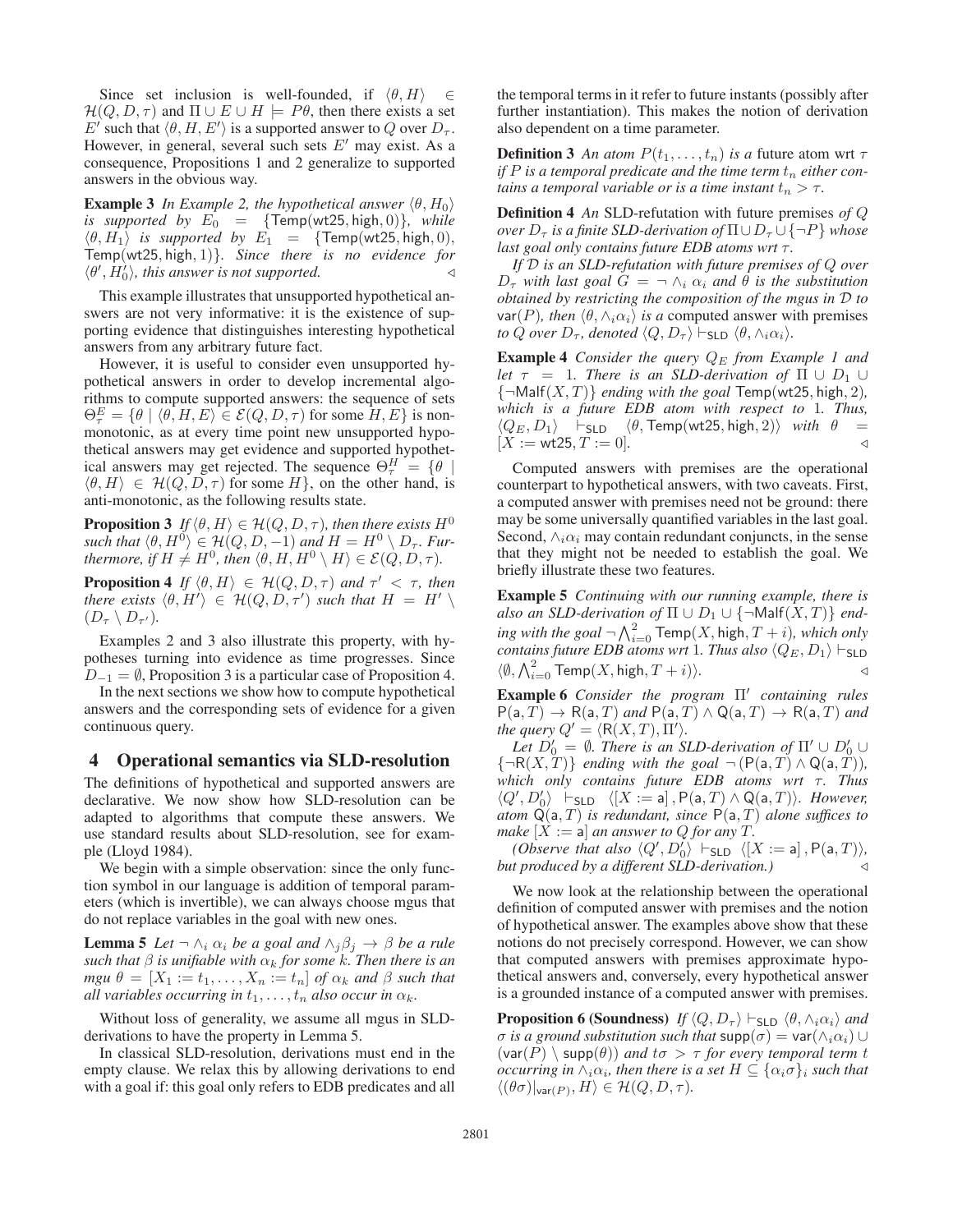Since set inclusion is well-founded, if  $\langle \theta, H \rangle \in$  $\mathcal{H}(Q, D, \tau)$  and  $\Pi \cup E \cup H \models P\theta$ , then there exists a set E' such that  $\langle \theta, H, E' \rangle$  is a supported answer to Q over  $D_{\tau}$ . However, in general, several such sets  $E'$  may exist. As a consequence, Propositions 1 and 2 generalize to supported answers in the obvious way.

**Example 3** *In Example 2, the hypothetical answer*  $\langle \theta, H_0 \rangle$ *is supported by*  $E_0 = \{Temp(wt25, high, 0)\}$ , while  $\langle \theta, H_1 \rangle$  *is supported by*  $E_1 = \{Temp(wt25, high, 0),\}$ Temp(wt25, high, 1)}*. Since there is no evidence for*  $\langle \theta', H_0' \rangle$ , this answer is not supported.

This example illustrates that unsupported hypothetical answers are not very informative: it is the existence of supporting evidence that distinguishes interesting hypothetical answers from any arbitrary future fact.

However, it is useful to consider even unsupported hypothetical answers in order to develop incremental algorithms to compute supported answers: the sequence of sets  $\Theta_{\tau}^{E} = \{ \theta \mid \langle \theta, H, E \rangle \in \mathcal{E}(Q, D, \tau) \text{ for some } H, E \}$  is nonmonotonic, as at every time point new unsupported hypothetical answers may get evidence and supported hypothetical answers may get rejected. The sequence  $\Theta_{\tau}^{H} = \{ \theta \mid \theta \in \mathbb{R} \}$  $\langle \theta, H \rangle \in \mathcal{H}(Q, D, \tau)$  for some H, on the other hand, is anti-monotonic, as the following results state.

**Proposition 3** *If*  $\langle \theta, H \rangle \in \mathcal{H}(Q, D, \tau)$ *, then there exists*  $H^0$  $\mathit{such that} \ \langle \theta, H^0 \rangle \in \mathcal{H}(Q, D, -1) \ and \ H = H^0 \setminus D_\tau. \ \mathit{Fun}$ *thermore, if*  $H \neq H^0$ *, then*  $\langle \theta, H, H^0 \setminus H \rangle \in \mathcal{E}(\dot{Q}, D, \tau)$ *.* 

**Proposition 4** If  $\langle \theta, H \rangle \in \mathcal{H}(Q, D, \tau)$  and  $\tau' < \tau$ , then *there exists*  $\langle \theta, H' \rangle \in H(Q, D, \tau')$  *such that*  $H = H' \setminus$  $(D_{\tau} \setminus D_{\tau'})$ .

Examples 2 and 3 also illustrate this property, with hypotheses turning into evidence as time progresses. Since  $D_{-1} = \emptyset$ , Proposition 3 is a particular case of Proposition 4.

In the next sections we show how to compute hypothetical answers and the corresponding sets of evidence for a given continuous query.

### 4 Operational semantics via SLD-resolution

The definitions of hypothetical and supported answers are declarative. We now show how SLD-resolution can be adapted to algorithms that compute these answers. We use standard results about SLD-resolution, see for example (Lloyd 1984).

We begin with a simple observation: since the only function symbol in our language is addition of temporal parameters (which is invertible), we can always choose mgus that do not replace variables in the goal with new ones.

**Lemma 5** *Let*  $\neg \wedge_i \alpha_i$  *be a goal and*  $\wedge_j \beta_j \rightarrow \beta$  *be a rule such that*  $\beta$  *is unifiable with*  $\alpha_k$  *for some k. Then there is an mgu*  $\theta = [X_1 := t_1, \dots, X_n := t_n]$  *of*  $\alpha_k$  *and*  $\beta$  *such that all variables occurring in*  $t_1, \ldots, t_n$  *also occur in*  $\alpha_k$ *.* 

Without loss of generality, we assume all mgus in SLDderivations to have the property in Lemma 5.

In classical SLD-resolution, derivations must end in the empty clause. We relax this by allowing derivations to end with a goal if: this goal only refers to EDB predicates and all

the temporal terms in it refer to future instants (possibly after further instantiation). This makes the notion of derivation also dependent on a time parameter.

**Definition 3** An atom  $P(t_1, \ldots, t_n)$  is a future atom wrt  $\tau$ *if*  $P$  *is a temporal predicate and the time term*  $t_n$  *either contains a temporal variable or is a time instant*  $t_n > \tau$ .

Definition 4 *An* SLD-refutation with future premises *of* Q *over*  $D_{\tau}$  *is a finite SLD-derivation of*  $\Pi \cup D_{\tau} \cup \{\neg P\}$  *whose last goal only contains future EDB atoms wrt* τ.

*If* D *is an SLD-refutation with future premises of* Q *over*  $D_{\tau}$  *with last goal*  $G = \neg \wedge_i \alpha_i$  *and*  $\theta$  *is the substitution obtained by restricting the composition of the mgus in* D *to* var(P), then  $\langle \theta, \wedge_i \alpha_i \rangle$  *is a* computed answer with premises *to* Q *over*  $D_{\tau}$ *, denoted*  $\langle Q, D_{\tau} \rangle \vdash_{\text{SLD}} \langle \theta, \wedge_i \alpha_i \rangle$ *.* 

**Example 4** *Consider the query*  $Q_E$  *from Example 1 and let*  $\tau$  = 1*. There is an SLD-derivation of*  $\Pi \cup D_1 \cup$  $\{\neg \text{Malf}(X, T)\}\$  *ending with the goal* Temp(wt25, high, 2), *which is a future EDB atom with respect to* 1*. Thus,*  $\langle Q_E, D_1 \rangle$   $\vdash$  SLD  $\langle \theta, \text{Temp(wt25, high, 2)} \rangle$  *with*  $\theta$  $[X := wt25, T := 0].$ 

Computed answers with premises are the operational counterpart to hypothetical answers, with two caveats. First, a computed answer with premises need not be ground: there may be some universally quantified variables in the last goal. Second,  $\wedge_i \alpha_i$  may contain redundant conjuncts, in the sense that they might not be needed to establish the goal. We briefly illustrate these two features.

Example 5 *Continuing with our running example, there is* also an SLD-derivation of  $\Pi \cup D_1 \cup \{\neg \text{Malf}(X,T)\}\$ end- $\emph{ing with the goal} \, \neg \, \bigwedge_{i=0}^2 \, \textsf{Temp}(X, \textsf{high}, T+i), \emph{which only}$ *contains future EDB atoms wrt* 1*. Thus also*  $\langle Q_E, D_1 \rangle \vdash_{SLD}$  $\langle \emptyset, \bigwedge_{i=0}^2 \mathsf{Temp}(X, \mathsf{high}, T+i) \rangle.$ 

**Example 6** Consider the program  $\Pi'$  containing rules  $P(a,T) \rightarrow R(a,T)$  *and*  $P(a,T) \land Q(a,T) \rightarrow R(a,T)$  *and the query*  $Q' = \langle R(X,T), \Pi' \rangle$ .

Let  $D'_0 = \emptyset$ . There is an SLD-derivation of  $\Pi' \cup D'_0 \cup$  ${\neg R(X, T)}$  *ending with the goal*  $\neg (P(a, T) \land Q(a, T))$ *, which only contains future EDB atoms wrt τ. Thus*  $\langle Q', D'_0 \rangle$   $\vdash_{\mathsf{SLD}} \langle [X := \mathsf{a}], \mathsf{P}(\mathsf{a}, T) \wedge \mathsf{Q}(\mathsf{a}, T) \rangle$ . However, *atom* Q(a, T) *is redundant, since* P(a, T) *alone suffices to make*  $[X := a]$  *an answer to Q for any T.* 

*(Observe that also*  $\langle Q', D'_0 \rangle$   $\vdash$   $SLD$   $\langle [X := a], P(a, T) \rangle$ , *but produced by a different SLD-derivation.)*

We now look at the relationship between the operational definition of computed answer with premises and the notion of hypothetical answer. The examples above show that these notions do not precisely correspond. However, we can show that computed answers with premises approximate hypothetical answers and, conversely, every hypothetical answer is a grounded instance of a computed answer with premises.

**Proposition 6 (Soundness)** *If*  $\langle Q, D_{\tau} \rangle \vdash_{\text{SLD}} \langle \theta, \wedge_i \alpha_i \rangle$  *and σ is a ground substitution such that*  $\text{supp}(\sigma) = \text{var}(\land_i \alpha_i) \cup$  $(\text{var}(P) \setminus \text{supp}(\theta))$  *and*  $t\sigma > \tau$  *for every temporal term t occurring in*  $\wedge_i \alpha_i$ *, then there is a set*  $H \subseteq {\alpha_i \sigma}_i$  *such that*  $\langle (\theta \sigma)|_{\text{var}(P)}, H \rangle \in \mathcal{H}(Q, D, \tau)$ *.*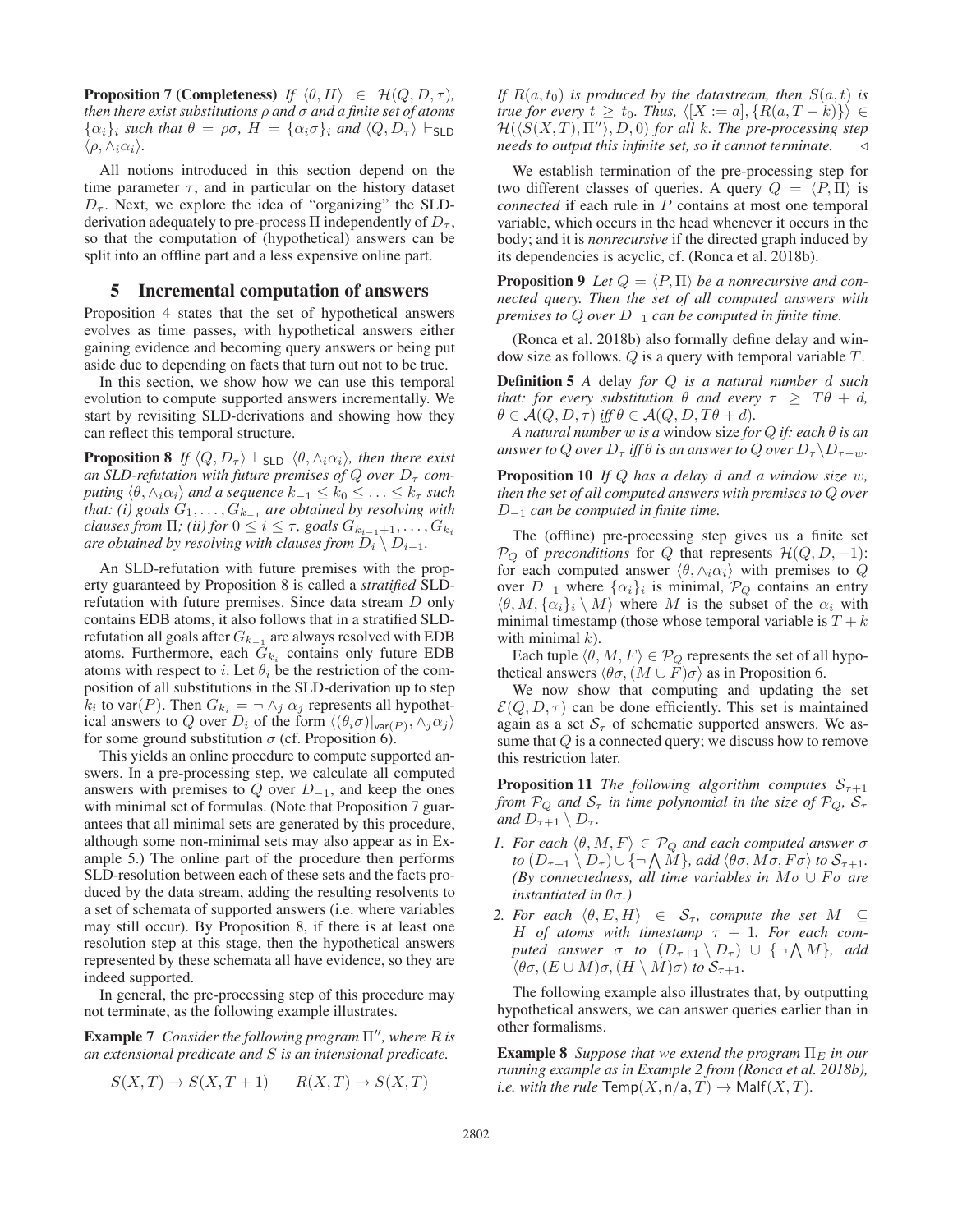**Proposition 7 (Completeness)** *If*  $\langle \theta, H \rangle \in \mathcal{H}(Q, D, \tau)$ *, then there exist substitutions* ρ *and* σ *and a finite set of atoms*  $\{\alpha_i\}_i$  *such that*  $\theta = \rho\sigma$ ,  $H = \{\alpha_i\sigma\}_i$  *and*  $\langle Q, D_{\tau} \rangle \vdash$  SLD  $\langle \rho, \wedge_i \alpha_i \rangle$ .

All notions introduced in this section depend on the time parameter  $\tau$ , and in particular on the history dataset  $D_{\tau}$ . Next, we explore the idea of "organizing" the SLDderivation adequately to pre-process  $\Pi$  independently of  $D_{\tau}$ , so that the computation of (hypothetical) answers can be split into an offline part and a less expensive online part.

#### 5 Incremental computation of answers

Proposition 4 states that the set of hypothetical answers evolves as time passes, with hypothetical answers either gaining evidence and becoming query answers or being put aside due to depending on facts that turn out not to be true.

In this section, we show how we can use this temporal evolution to compute supported answers incrementally. We start by revisiting SLD-derivations and showing how they can reflect this temporal structure.

**Proposition 8** *If*  $\langle Q, D_{\tau} \rangle \vdash_{\mathsf{SLD}} \langle \theta, \wedge_i \alpha_i \rangle$ , then there exist *an SLD-refutation with future premises of Q over*  $D_{\tau}$  *computing*  $\langle \theta, \wedge_i \alpha_i \rangle$  *and a sequence*  $k_{-1} \leq k_0 \leq \ldots \leq k_{\tau}$  *such that: (i) goals*  $G_1, \ldots, G_{k-1}$  *are obtained by resolving with clauses from*  $\Pi$ *; (ii) for*  $0 \leq i \leq \tau$ *, goals*  $G_{k_{i-1}+1}, \ldots, G_{k_i}$ *are obtained by resolving with clauses from*  $D_i \setminus D_{i-1}$ *.* 

An SLD-refutation with future premises with the property guaranteed by Proposition 8 is called a *stratified* SLDrefutation with future premises. Since data stream D only contains EDB atoms, it also follows that in a stratified SLDrefutation all goals after  $G_{k-1}$  are always resolved with EDB atoms. Furthermore, each  $G_{k_i}$  contains only future EDB atoms with respect to i. Let  $\theta_i$  be the restriction of the composition of all substitutions in the SLD-derivation up to step  $k_i$  to var(P). Then  $G_{k_i} = \neg \wedge_i \alpha_i$  represents all hypothetical answers to Q over  $D_i$  of the form  $\langle (\theta_i \sigma)|_{var(P)}, \wedge_i \alpha_i \rangle$ for some ground substitution  $\sigma$  (cf. Proposition 6).

This yields an online procedure to compute supported answers. In a pre-processing step, we calculate all computed answers with premises to  $Q$  over  $D_{-1}$ , and keep the ones with minimal set of formulas. (Note that Proposition 7 guarantees that all minimal sets are generated by this procedure, although some non-minimal sets may also appear as in Example 5.) The online part of the procedure then performs SLD-resolution between each of these sets and the facts produced by the data stream, adding the resulting resolvents to a set of schemata of supported answers (i.e. where variables may still occur). By Proposition 8, if there is at least one resolution step at this stage, then the hypothetical answers represented by these schemata all have evidence, so they are indeed supported.

In general, the pre-processing step of this procedure may not terminate, as the following example illustrates.

**Example 7** Consider the following program Π", where R is *an extensional predicate and* S *is an intensional predicate.*

$$
S(X,T) \to S(X,T+1) \qquad R(X,T) \to S(X,T)
$$

*If*  $R(a, t_0)$  *is produced by the datastream, then*  $S(a, t)$  *is true for every*  $t \geq t_0$ *. Thus,*  $\langle [X := a], \{R(a, T - k)\}\rangle \in$  $H(\langle S(X,T), \Pi'' \rangle, D, 0)$  for all k. The pre-processing step *needs to output this infinite set, so it cannot terminate.*

We establish termination of the pre-processing step for two different classes of queries. A query  $Q = \langle P, \Pi \rangle$  is *connected* if each rule in P contains at most one temporal variable, which occurs in the head whenever it occurs in the body; and it is *nonrecursive* if the directed graph induced by its dependencies is acyclic, cf. (Ronca et al. 2018b).

**Proposition 9** Let  $Q = \langle P, \Pi \rangle$  be a nonrecursive and con*nected query. Then the set of all computed answers with premises to* <sup>Q</sup> *over* <sup>D</sup>−<sup>1</sup> *can be computed in finite time.*

(Ronca et al. 2018b) also formally define delay and window size as follows. Q is a query with temporal variable T.

Definition 5 *A* delay *for* Q *is a natural number* d *such that: for every substitution*  $\theta$  *and every*  $\tau \geq T\theta + d$ ,  $\theta \in \mathcal{A}(Q, D, \tau)$  *iff*  $\theta \in \mathcal{A}(Q, D, T\theta + d)$ *.* 

*A natural number* w *is a* window size *for* Q *if: each* θ *is an answer to* Q *over*  $D_{\tau}$  *iff*  $\theta$  *is an answer to* Q *over*  $D_{\tau} \setminus D_{\tau-w}$ *.* 

Proposition 10 *If* Q *has a delay* d *and a window size* w*, then the set of all computed answers with premises to* Q *over* <sup>D</sup>−<sup>1</sup> *can be computed in finite time.*

The (offline) pre-processing step gives us a finite set  $\mathcal{P}_Q$  of *preconditions* for Q that represents  $\mathcal{H}(Q, D, -1)$ : for each computed answer  $\langle \theta, \wedge_i \alpha_i \rangle$  with premises to Q over  $D_{-1}$  where  $\{\alpha_i\}_i$  is minimal,  $\mathcal{P}_Q$  contains an entry  $\langle \theta, M, \{\alpha_i\}_i \setminus M \rangle$  where M is the subset of the  $\alpha_i$  with minimal timestamp (those whose temporal variable is  $T + k$ with minimal  $k$ ).

Each tuple  $\langle \theta, M, F \rangle \in \mathcal{P}_Q$  represents the set of all hypothetical answers  $\langle \theta \sigma, (M \cup F) \sigma \rangle$  as in Proposition 6.

We now show that computing and updating the set  $\mathcal{E}(Q, D, \tau)$  can be done efficiently. This set is maintained again as a set  $S<sub>\tau</sub>$  of schematic supported answers. We assume that  $Q$  is a connected query; we discuss how to remove this restriction later.

**Proposition 11** *The following algorithm computes*  $S_{\tau+1}$ *from*  $\mathcal{P}_Q$  *and*  $\mathcal{S}_{\tau}$  *in time polynomial in the size of*  $\mathcal{P}_Q$ *,*  $\mathcal{S}_{\tau}$ *and*  $D_{\tau+1} \setminus D_{\tau}$ *.* 

- *1. For each*  $\langle \theta, M, F \rangle \in \mathcal{P}_Q$  *and each computed answer*  $\sigma$ *to*  $(D_{\tau+1} \setminus D_{\tau}) \cup \{\neg \text{ } \wedge M\}$ *, add*  $\langle \theta \sigma, M\sigma, F\sigma \rangle$  *to*  $S_{\tau+1}$ *. (By connectedness, all time variables in*  $M\sigma \cup F\sigma$  *are instantiated in* θσ*.)*
- *2. For each*  $\langle \theta, E, H \rangle \in S_{\tau}$ , *compute the set*  $M \subseteq$ H *of atoms with timestamp* τ + 1*. For each computed answer*  $\sigma$  *to*  $(D_{\tau+1} \setminus D_{\tau}) \cup \{\neg \text{ }\Lambda \text{ } M\}$ *, add*  $\langle \theta \sigma, (E \cup M) \sigma, (H \setminus M) \sigma \rangle$  to  $S_{\tau+1}$ .

The following example also illustrates that, by outputting hypothetical answers, we can answer queries earlier than in other formalisms.

**Example 8** *Suppose that we extend the program*  $\Pi_E$  *in our running example as in Example 2 from (Ronca et al. 2018b), i.e. with the rule*  $\mathsf{Temp}(X, \mathsf{n/a}, T) \to \mathsf{Malf}(X, T)$ .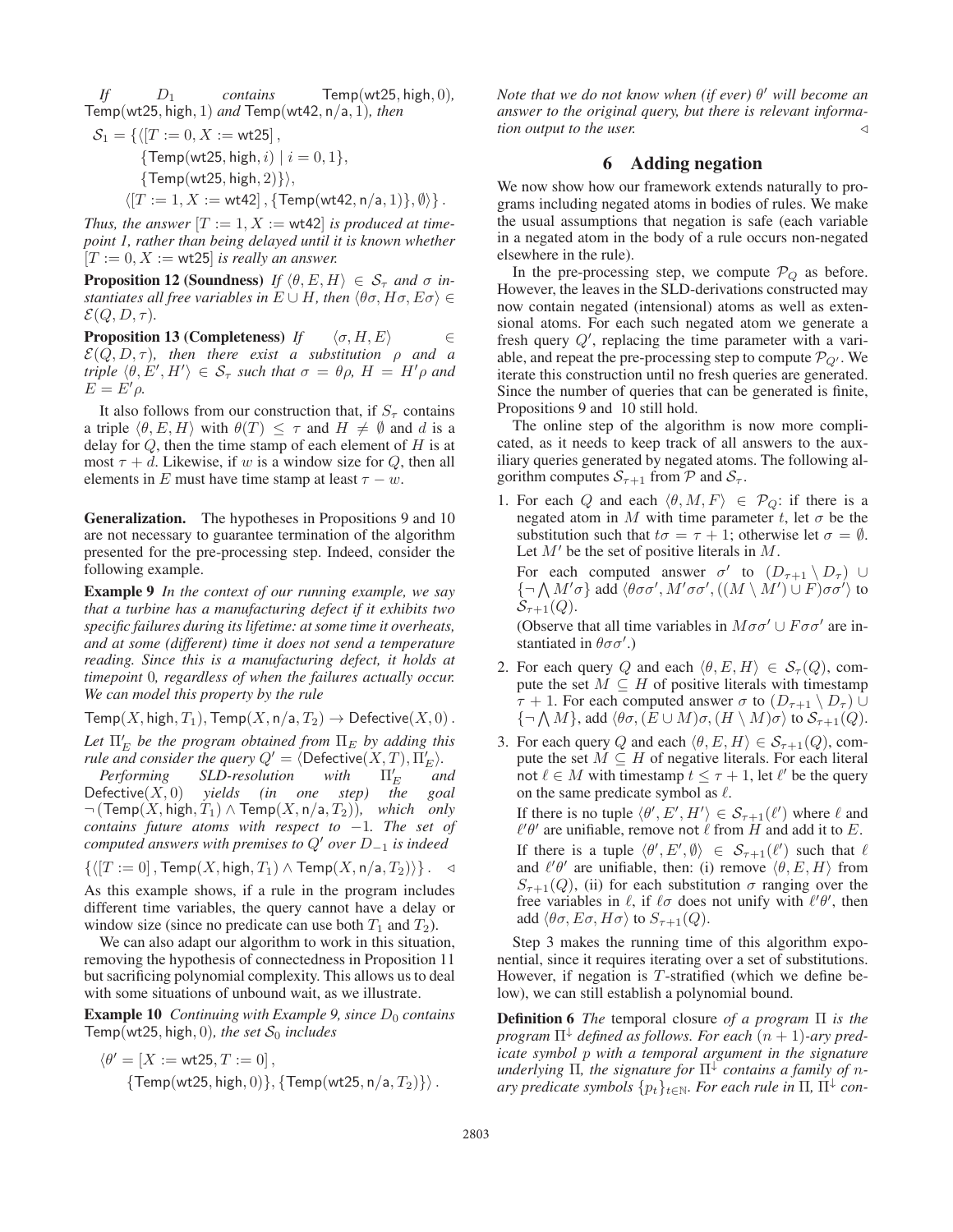*If* D<sup>1</sup> *contains* Temp(wt25, high, 0)*,* Temp(wt25, high, 1) *and* Temp(wt42, n/a, 1)*, then*

$$
S_1 = \{ \langle [T := 0, X := wt25], \\ \{Temp(wt25, high, i) \mid i = 0, 1 \}, \\ \{Temp(wt25, high, 2) \} \rangle,
$$

 $\langle [T := 1, X := \text{wt42}]$ ,  $\{ \text{Temp}(\text{wt42}, \text{n/a}, 1) \}, \emptyset \rangle \}.$ 

*Thus, the answer*  $[T := 1, X := wt42]$  *is produced at timepoint 1, rather than being delayed until it is known whether*  $[T := 0, X := wt25]$  *is really an answer.* 

**Proposition 12 (Soundness)** *If*  $\langle \theta, E, H \rangle \in S_{\tau}$  *and*  $\sigma$  *instantiates all free variables in*  $E \cup H$ *, then*  $\langle \theta \sigma, H \sigma, E \sigma \rangle \in$  $\mathcal{E}(Q, D, \tau)$ .

**Proposition 13 (Completeness)** *If*  $\langle \sigma, H, E \rangle$  ∈  $\mathcal{E}(Q, D, \tau)$ , then there exist a substitution  $\rho$  and a *triple*  $\langle \theta, E', H' \rangle \in S_{\tau}$  *such that*  $\sigma = \theta \rho$ ,  $H = H' \rho$  *and*  $E = E' \rho$ .

It also follows from our construction that, if  $S_\tau$  contains a triple  $\langle \theta, E, H \rangle$  with  $\theta(T) \leq \tau$  and  $H \neq \emptyset$  and d is a delay for  $Q$ , then the time stamp of each element of  $H$  is at most  $\tau + d$ . Likewise, if w is a window size for Q, then all elements in E must have time stamp at least  $\tau - w$ .

Generalization. The hypotheses in Propositions 9 and 10 are not necessary to guarantee termination of the algorithm presented for the pre-processing step. Indeed, consider the following example.

Example 9 *In the context of our running example, we say that a turbine has a manufacturing defect if it exhibits two specific failures during its lifetime: at some time it overheats, and at some (different) time it does not send a temperature reading. Since this is a manufacturing defect, it holds at timepoint* 0*, regardless of when the failures actually occur. We can model this property by the rule*

Temp(X, high,  $T_1$ ), Temp(X, n/a,  $T_2$ )  $\rightarrow$  Defective(X, 0).

Let  $\Pi'_E$  be the program obtained from  $\Pi_E$  by adding this *rule and consider the query*  $Q' = \langle$  Defective $(X, T), \Pi'_E \rangle$ .

*Performing SLD-resolution with*  $\Pi'_E$  $I'_E$  and<br>the goal  $Defective(X, 0)$  *yields (in one step)*  $\neg$  (Temp(X, high,  $T_1$ )  $\land$  Temp(X, n/a,  $T_2$ )), which only *contains future atoms with respect to* −1*. The set of computed answers with premises to Q' over*  $D_{-1}$  *is indeed* 

 $\{([T := 0], \text{Temp}(X, \text{high}, T_1) \wedge \text{Temp}(X, \text{n/a}, T_2))\}\$ . <

As this example shows, if a rule in the program includes different time variables, the query cannot have a delay or window size (since no predicate can use both  $T_1$  and  $T_2$ ).

We can also adapt our algorithm to work in this situation, removing the hypothesis of connectedness in Proposition 11 but sacrificing polynomial complexity. This allows us to deal with some situations of unbound wait, as we illustrate.

**Example 10** *Continuing with Example 9, since*  $D_0$  *contains* Temp(wt25, high, 0), the set  $S_0$  *includes* 

$$
\langle \theta' = [X := \text{wt25}, T := 0],
$$
  

$$
\{\text{Temp}(\text{wt25}, \text{high}, 0)\}, \{\text{Temp}(\text{wt25}, \text{n/a}, T_2)\}\rangle.
$$

*Note that we do not know when (if ever)* θ' will become an *answer to the original query, but there is relevant information output to the user.*

# 6 Adding negation

We now show how our framework extends naturally to programs including negated atoms in bodies of rules. We make the usual assumptions that negation is safe (each variable in a negated atom in the body of a rule occurs non-negated elsewhere in the rule).

In the pre-processing step, we compute  $P_Q$  as before. However, the leaves in the SLD-derivations constructed may now contain negated (intensional) atoms as well as extensional atoms. For each such negated atom we generate a fresh query  $Q'$ , replacing the time parameter with a variable, and repeat the pre-processing step to compute  $\mathcal{P}_{Q'}$ . We iterate this construction until no fresh queries are generated. Since the number of queries that can be generated is finite, Propositions 9 and 10 still hold.

The online step of the algorithm is now more complicated, as it needs to keep track of all answers to the auxiliary queries generated by negated atoms. The following algorithm computes  $S_{\tau+1}$  from  $P$  and  $S_{\tau}$ .

1. For each Q and each  $\langle \theta, M, F \rangle \in \mathcal{P}_Q$ : if there is a negated atom in M with time parameter t, let  $\sigma$  be the substitution such that  $t\sigma = \tau + 1$ ; otherwise let  $\sigma = \emptyset$ . Let  $M'$  be the set of positive literals in  $M$ .

For each computed answer  $\sigma'$  to  $(D_{\tau+1} \setminus D_{\tau})$   $\cup$  $\{\neg \bigwedge M'\sigma\}$  add  $\langle \theta \sigma \sigma', M' \sigma \sigma', ((M \setminus M') \cup F) \sigma \sigma' \rangle$  to  $S_{\tau+1}(Q)$ .

(Observe that all time variables in  $M\sigma\sigma' \cup F\sigma\sigma'$  are instantiated in  $\theta \sigma \sigma'$ .)

- 2. For each query Q and each  $\langle \theta, E, H \rangle \in S_{\tau} (Q)$ , compute the set  $M \subseteq H$  of positive literals with timestamp  $\tau + 1$ . For each computed answer  $\sigma$  to  $(D_{\tau+1} \setminus D_{\tau}) \cup$  ${\{\neg \bigwedge M\}}$ , add  $\langle \theta \sigma, (E \cup M) \sigma, (H \setminus M) \sigma \rangle$  to  $S_{\tau+1}(Q)$ .
- 3. For each query Q and each  $\langle \theta, E, H \rangle \in S_{\tau+1}(Q)$ , compute the set  $M \subseteq H$  of negative literals. For each literal not  $\ell \in M$  with timestamp  $t \leq \tau + 1$ , let  $\ell'$  be the query on the same predicate symbol as  $\ell$ .

If there is no tuple  $\langle \theta', E', H' \rangle \in S_{\tau+1}(\ell')$  where  $\ell$  and  $\ell' \theta'$  are unifiable, remove not  $\ell$  from  $H$  and add it to E. If there is a tuple  $\langle \theta', E', \emptyset \rangle \in S_{\tau+1}(\ell')$  such that  $\ell$ and  $\ell' \theta'$  are unifiable, then: (i) remove  $\langle \theta, E, H \rangle$  from  $S_{\tau+1}(Q)$ , (ii) for each substitution  $\sigma$  ranging over the free variables in  $\ell$ , if  $\ell \sigma$  does not unify with  $\ell' \theta'$ , then add  $\langle \theta \sigma, E\sigma, H\sigma \rangle$  to  $S_{\tau+1}(Q)$ .

Step 3 makes the running time of this algorithm exponential, since it requires iterating over a set of substitutions. However, if negation is  $T$ -stratified (which we define below), we can still establish a polynomial bound.

Definition 6 *The* temporal closure *of a program* Π *is the program*  $\Pi^{\downarrow}$  *defined as follows. For each*  $(n + 1)$ *-ary predicate symbol* p *with a temporal argument in the signature underlying*  $\Pi$ *, the signature for*  $\Pi^{\downarrow}$  *contains a family of nary predicate symbols*  $\{p_t\}_{t\in\mathbb{N}}$ *. For each rule in*  $\Pi$ *,*  $\Pi^{\downarrow}$  *con-*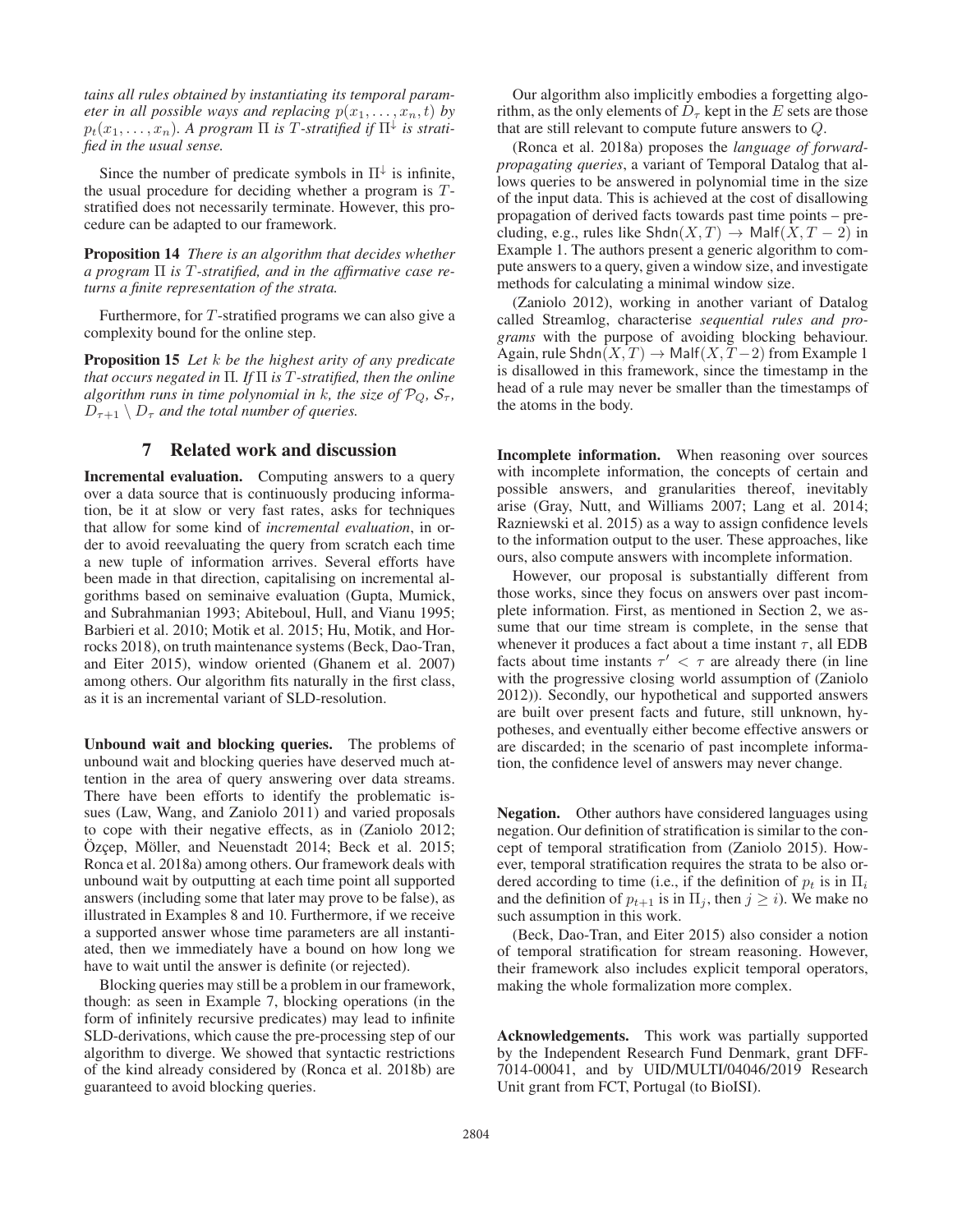*tains all rules obtained by instantiating its temporal parameter in all possible ways and replacing*  $p(x_1,...,x_n,t)$  *by*  $p_t(x_1,\ldots,x_n)$ . A program  $\Pi$  *is T*-stratified if  $\Pi^{\downarrow}$  *is stratified in the usual sense.*

Since the number of predicate symbols in  $\Pi^{\downarrow}$  is infinite, the usual procedure for deciding whether a program is  $T$ stratified does not necessarily terminate. However, this procedure can be adapted to our framework.

Proposition 14 *There is an algorithm that decides whether a program* Π *is* T*-stratified, and in the affirmative case returns a finite representation of the strata.*

Furthermore, for T-stratified programs we can also give a complexity bound for the online step.

Proposition 15 *Let* k *be the highest arity of any predicate that occurs negated in* Π*. If* Π *is* T*-stratified, then the online algorithm runs in time polynomial in k, the size of*  $\mathcal{P}_Q$ *,*  $\mathcal{S}_{\tau}$ *,*  $D_{\tau+1} \setminus D_{\tau}$  *and the total number of queries.* 

# 7 Related work and discussion

Incremental evaluation. Computing answers to a query over a data source that is continuously producing information, be it at slow or very fast rates, asks for techniques that allow for some kind of *incremental evaluation*, in order to avoid reevaluating the query from scratch each time a new tuple of information arrives. Several efforts have been made in that direction, capitalising on incremental algorithms based on seminaive evaluation (Gupta, Mumick, and Subrahmanian 1993; Abiteboul, Hull, and Vianu 1995; Barbieri et al. 2010; Motik et al. 2015; Hu, Motik, and Horrocks 2018), on truth maintenance systems (Beck, Dao-Tran, and Eiter 2015), window oriented (Ghanem et al. 2007) among others. Our algorithm fits naturally in the first class, as it is an incremental variant of SLD-resolution.

Unbound wait and blocking queries. The problems of unbound wait and blocking queries have deserved much attention in the area of query answering over data streams. There have been efforts to identify the problematic issues (Law, Wang, and Zaniolo 2011) and varied proposals to cope with their negative effects, as in (Zaniolo 2012; Özçep, Möller, and Neuenstadt 2014; Beck et al. 2015; Ronca et al. 2018a) among others. Our framework deals with unbound wait by outputting at each time point all supported answers (including some that later may prove to be false), as illustrated in Examples 8 and 10. Furthermore, if we receive a supported answer whose time parameters are all instantiated, then we immediately have a bound on how long we have to wait until the answer is definite (or rejected).

Blocking queries may still be a problem in our framework, though: as seen in Example 7, blocking operations (in the form of infinitely recursive predicates) may lead to infinite SLD-derivations, which cause the pre-processing step of our algorithm to diverge. We showed that syntactic restrictions of the kind already considered by (Ronca et al. 2018b) are guaranteed to avoid blocking queries.

Our algorithm also implicitly embodies a forgetting algorithm, as the only elements of  $D<sub>\tau</sub>$  kept in the E sets are those that are still relevant to compute future answers to Q.

(Ronca et al. 2018a) proposes the *language of forwardpropagating queries*, a variant of Temporal Datalog that allows queries to be answered in polynomial time in the size of the input data. This is achieved at the cost of disallowing propagation of derived facts towards past time points – precluding, e.g., rules like  $\text{Shdn}(X,T) \to \text{Malf}(X,T-2)$  in Example 1. The authors present a generic algorithm to compute answers to a query, given a window size, and investigate methods for calculating a minimal window size.

(Zaniolo 2012), working in another variant of Datalog called Streamlog, characterise *sequential rules and programs* with the purpose of avoiding blocking behaviour. Again, rule Shdn( $X, T$ )  $\rightarrow$  Malf( $X, T-2$ ) from Example 1 is disallowed in this framework, since the timestamp in the head of a rule may never be smaller than the timestamps of the atoms in the body.

Incomplete information. When reasoning over sources with incomplete information, the concepts of certain and possible answers, and granularities thereof, inevitably arise (Gray, Nutt, and Williams 2007; Lang et al. 2014; Razniewski et al. 2015) as a way to assign confidence levels to the information output to the user. These approaches, like ours, also compute answers with incomplete information.

However, our proposal is substantially different from those works, since they focus on answers over past incomplete information. First, as mentioned in Section 2, we assume that our time stream is complete, in the sense that whenever it produces a fact about a time instant  $\tau$ , all EDB facts about time instants  $\tau' < \tau$  are already there (in line with the progressive closing world assumption of (Zaniolo 2012)). Secondly, our hypothetical and supported answers are built over present facts and future, still unknown, hypotheses, and eventually either become effective answers or are discarded; in the scenario of past incomplete information, the confidence level of answers may never change.

Negation. Other authors have considered languages using negation. Our definition of stratification is similar to the concept of temporal stratification from (Zaniolo 2015). However, temporal stratification requires the strata to be also ordered according to time (i.e., if the definition of  $p_t$  is in  $\Pi_i$ and the definition of  $p_{t+1}$  is in  $\Pi_i$ , then  $j \geq i$ ). We make no such assumption in this work.

(Beck, Dao-Tran, and Eiter 2015) also consider a notion of temporal stratification for stream reasoning. However, their framework also includes explicit temporal operators, making the whole formalization more complex.

Acknowledgements. This work was partially supported by the Independent Research Fund Denmark, grant DFF-7014-00041, and by UID/MULTI/04046/2019 Research Unit grant from FCT, Portugal (to BioISI).